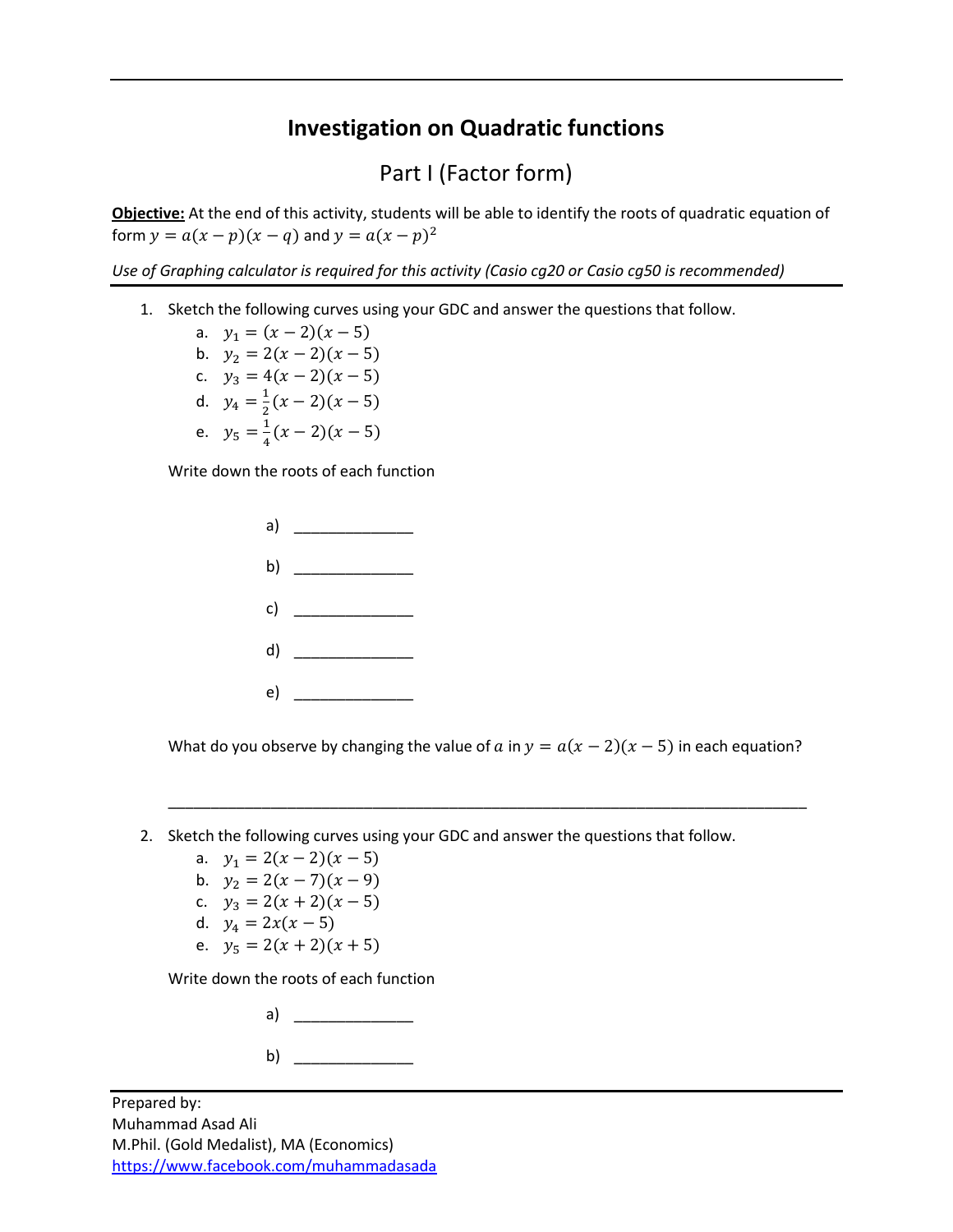## **Investigation on Quadratic functions**

## Part I (Factor form)

**Objective:** At the end of this activity, students will be able to identify the roots of quadratic equation of form  $y = a(x - p)(x - q)$  and  $y = a(x - p)^2$ 

*Use of Graphing calculator is required for this activity (Casio cg20 or Casio cg50 is recommended)*

1. Sketch the following curves using your GDC and answer the questions that follow.

a.  $y_1 = (x - 2)(x - 5)$ b.  $y_2 = 2(x - 2)(x - 5)$ c.  $y_3 = 4(x - 2)(x - 5)$ d.  $y_4 = \frac{1}{2}$  $\frac{1}{2}(x-2)(x-5)$ e.  $y_5 = \frac{1}{4}$  $\frac{1}{4}(x-2)(x-5)$ 

Write down the roots of each function



What do you observe by changing the value of a in  $y = a(x - 2)(x - 5)$  in each equation?

\_\_\_\_\_\_\_\_\_\_\_\_\_\_\_\_\_\_\_\_\_\_\_\_\_\_\_\_\_\_\_\_\_\_\_\_\_\_\_\_\_\_\_\_\_\_\_\_\_\_\_\_\_\_\_\_\_\_\_\_\_\_\_\_\_\_\_\_\_\_\_\_\_\_\_

- 2. Sketch the following curves using your GDC and answer the questions that follow.
	- a.  $y_1 = 2(x 2)(x 5)$
	- b.  $y_2 = 2(x 7)(x 9)$
	- c.  $y_3 = 2(x + 2)(x 5)$
	- d.  $y_4 = 2x(x 5)$
	- e.  $y_5 = 2(x + 2)(x + 5)$

Write down the roots of each function

| a) |  |
|----|--|
| b) |  |

Prepared by: Muhammad Asad Ali M.Phil. (Gold Medalist), MA (Economics) <https://www.facebook.com/muhammadasada>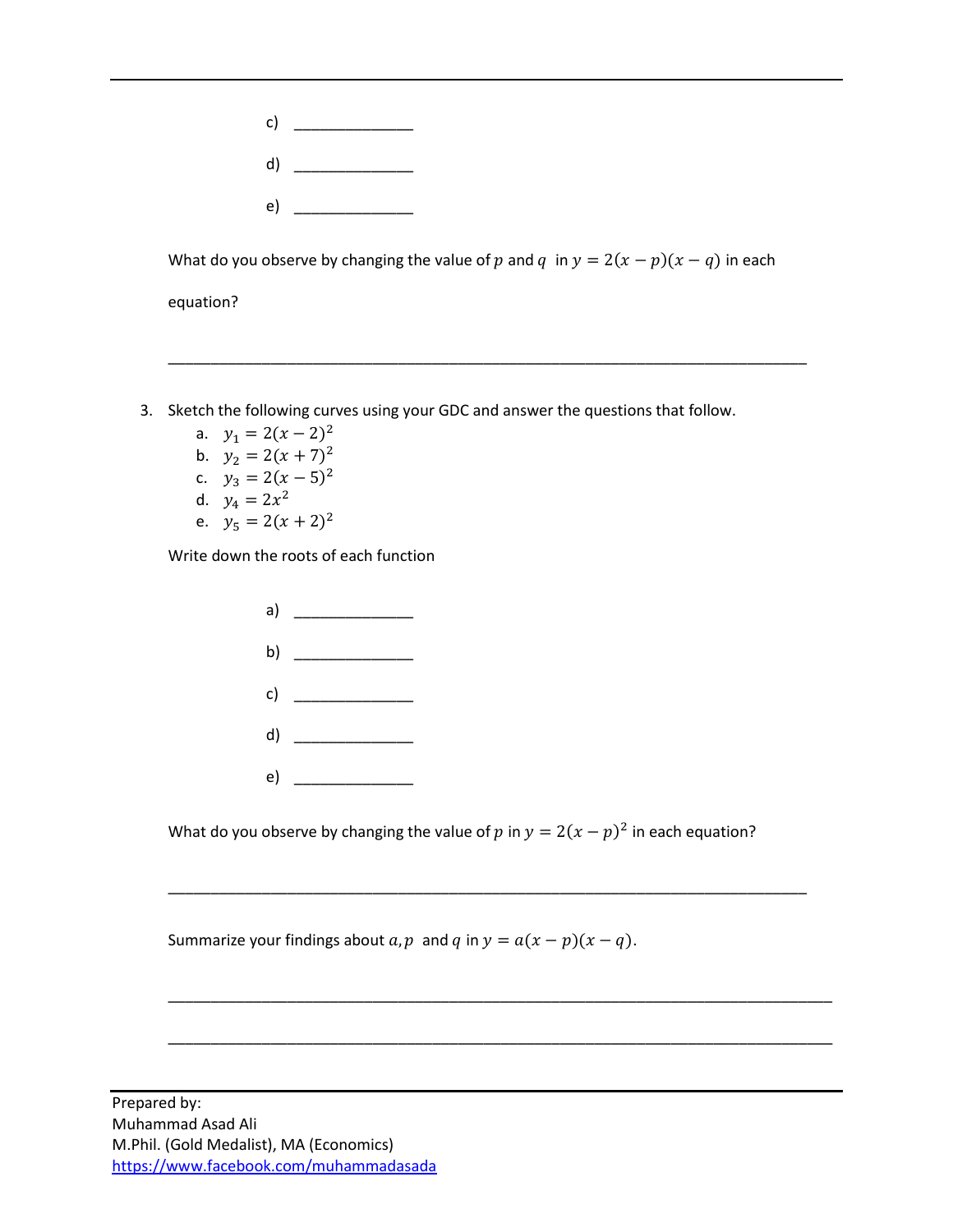

What do you observe by changing the value of p and q in  $y = 2(x - p)(x - q)$  in each

\_\_\_\_\_\_\_\_\_\_\_\_\_\_\_\_\_\_\_\_\_\_\_\_\_\_\_\_\_\_\_\_\_\_\_\_\_\_\_\_\_\_\_\_\_\_\_\_\_\_\_\_\_\_\_\_\_\_\_\_\_\_\_\_\_\_\_\_\_\_\_\_\_\_\_

equation?

- 3. Sketch the following curves using your GDC and answer the questions that follow.
	- a.  $y_1 = 2(x 2)^2$
	- b.  $y_2 = 2(x + 7)^2$
	- c.  $y_3 = 2(x 5)^2$
	- d.  $y_4 = 2x^2$
	- e.  $y_5 = 2(x + 2)^2$

Write down the roots of each function



What do you observe by changing the value of  $p$  in  $y = 2(x - p)^2$  in each equation?

\_\_\_\_\_\_\_\_\_\_\_\_\_\_\_\_\_\_\_\_\_\_\_\_\_\_\_\_\_\_\_\_\_\_\_\_\_\_\_\_\_\_\_\_\_\_\_\_\_\_\_\_\_\_\_\_\_\_\_\_\_\_\_\_\_\_\_\_\_\_\_\_\_\_\_

\_\_\_\_\_\_\_\_\_\_\_\_\_\_\_\_\_\_\_\_\_\_\_\_\_\_\_\_\_\_\_\_\_\_\_\_\_\_\_\_\_\_\_\_\_\_\_\_\_\_\_\_\_\_\_\_\_\_\_\_\_\_\_\_\_\_\_\_\_\_\_\_\_\_\_\_\_\_

\_\_\_\_\_\_\_\_\_\_\_\_\_\_\_\_\_\_\_\_\_\_\_\_\_\_\_\_\_\_\_\_\_\_\_\_\_\_\_\_\_\_\_\_\_\_\_\_\_\_\_\_\_\_\_\_\_\_\_\_\_\_\_\_\_\_\_\_\_\_\_\_\_\_\_\_\_\_

Summarize your findings about  $a, p$  and  $q$  in  $y = a(x - p)(x - q)$ .

Prepared by: Muhammad Asad Ali M.Phil. (Gold Medalist), MA (Economics) <https://www.facebook.com/muhammadasada>